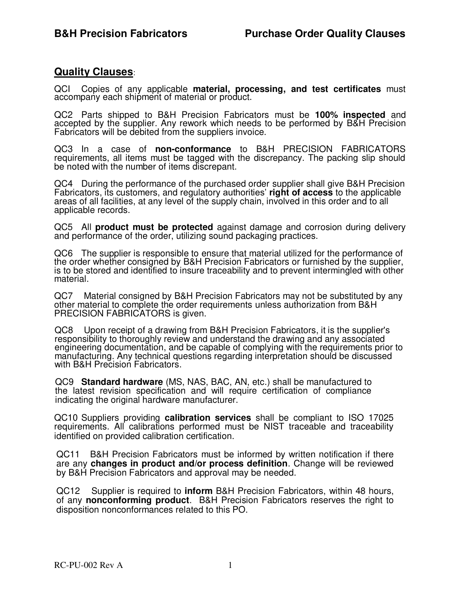## **Quality Clauses**:

QCI Copies of any applicable **material, processing, and test certificates** must accompany each shipment of material or product.

QC2 Parts shipped to B&H Precision Fabricators must be **100% inspected** and accepted by the supplier. Any rework which needs to be performed by B&H Precision Fabricators will be debited from the suppliers invoice.

QC3 In a case of **non-conformance** to B&H PRECISION FABRICATORS requirements, all items must be tagged with the discrepancy. The packing slip should be noted with the number of items discrepant.

QC4 During the performance of the purchased order supplier shall give B&H Precision Fabricators, its customers, and regulatory authorities' **right of access** to the applicable areas of all facilities, at any level of the supply chain, involved in this order and to all applicable records.

QC5 All **product must be protected** against damage and corrosion during delivery and performance of the order, utilizing sound packaging practices.

QC6 The supplier is responsible to ensure that material utilized for the performance of the order whether consigned by B&H Precision Fabricators or furnished by the supplier, is to be stored and identified to insure traceability and to prevent intermingled with other material.

QC7 Material consigned by B&H Precision Fabricators may not be substituted by any other material to complete the order requirements unless authorization from B&H PRECISION FABRICATORS is given.

QC8 Upon receipt of a drawing from B&H Precision Fabricators, it is the supplier's responsibility to thoroughly review and understand the drawing and any associated engineering documentation, and be capable of complying with the requirements prior to manufacturing. Any technical questions regarding interpretation should be discussed with B&H Precision Fabricators.

QC9 **Standard hardware** (MS, NAS, BAC, AN, etc.) shall be manufactured to the latest revision specification and will require certification of compliance indicating the original hardware manufacturer.

QC10 Suppliers providing **calibration services** shall be compliant to ISO 17025 requirements. All calibrations performed must be NIST traceable and traceability identified on provided calibration certification.

QC11 B&H Precision Fabricators must be informed by written notification if there are any **changes in product and/or process definition**. Change will be reviewed by B&H Precision Fabricators and approval may be needed.

QC12 Supplier is required to **inform** B&H Precision Fabricators, within 48 hours, of any **nonconforming product**. B&H Precision Fabricators reserves the right to disposition nonconformances related to this PO.